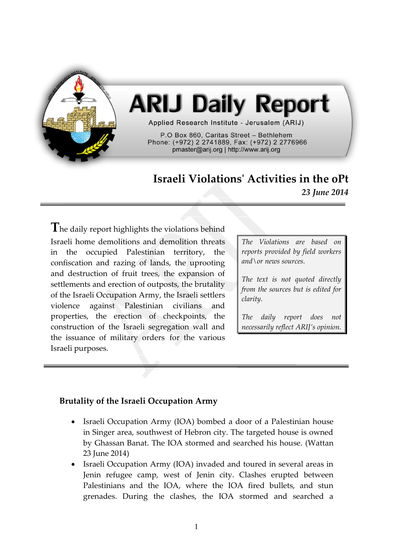

# **ARIJ Daily Report**

Applied Research Institute - Jerusalem (ARIJ)

P.O Box 860. Caritas Street - Bethlehem Phone: (+972) 2 2741889, Fax: (+972) 2 2776966 pmaster@arij.org | http://www.arij.org

# **Israeli Violations' Activities in the oPt** *23 June 2014*

**T**he daily report highlights the violations behind Israeli home demolitions and demolition threats in the occupied Palestinian territory, the confiscation and razing of lands, the uprooting and destruction of fruit trees, the expansion of settlements and erection of outposts, the brutality of the Israeli Occupation Army, the Israeli settlers violence against Palestinian civilians and properties, the erection of checkpoints, the construction of the Israeli segregation wall and the issuance of military orders for the various Israeli purposes.

*The Violations are based on reports provided by field workers and\or news sources.*

*The text is not quoted directly from the sources but is edited for clarity.*

*The daily report does not necessarily reflect ARIJ's opinion.*

## **Brutality of the Israeli Occupation Army**

- Israeli Occupation Army (IOA) bombed a door of a Palestinian house in Singer area, southwest of Hebron city. The targeted house is owned by Ghassan Banat. The IOA stormed and searched his house. (Wattan 23 June 2014)
- Israeli Occupation Army (IOA) invaded and toured in several areas in Jenin refugee camp, west of Jenin city. Clashes erupted between Palestinians and the IOA, where the IOA fired bullets, and stun grenades. During the clashes, the IOA stormed and searched a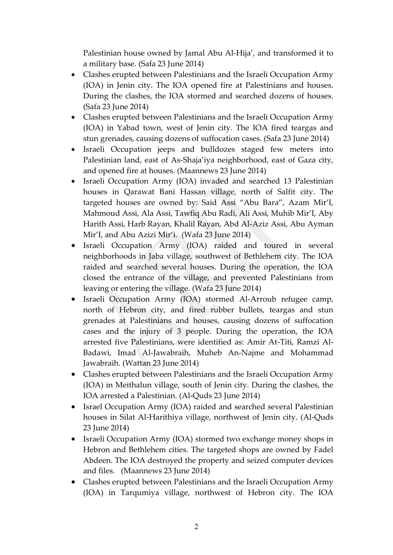Palestinian house owned by Jamal Abu Al-Hija', and transformed it to a military base. (Safa 23 June 2014)

- Clashes erupted between Palestinians and the Israeli Occupation Army (IOA) in Jenin city. The IOA opened fire at Palestinians and houses. During the clashes, the IOA stormed and searched dozens of houses. (Safa 23 June 2014)
- Clashes erupted between Palestinians and the Israeli Occupation Army (IOA) in Yabad town, west of Jenin city. The IOA fired teargas and stun grenades, causing dozens of suffocation cases. (Safa 23 June 2014)
- Israeli Occupation jeeps and bulldozes staged few meters into Palestinian land, east of As-Shaja'iya neighborhood, east of Gaza city, and opened fire at houses. (Maannews 23 June 2014)
- Israeli Occupation Army (IOA) invaded and searched 13 Palestinian houses in Qarawat Bani Hassan village, north of Salfit city. The targeted houses are owned by: Said Assi "Abu Bara", Azam Mir'I, Mahmoud Assi, Ala Assi, Tawfiq Abu Radi, Ali Assi, Muhib Mir'I, Aby Harith Assi, Harb Rayan, Khalil Rayan, Abd Al-Aziz Assi, Abu Ayman Mir'I, and Abu Azizi Mir'i. (Wafa 23 June 2014)
- Israeli Occupation Army (IOA) raided and toured in several neighborhoods in Jaba village, southwest of Bethlehem city. The IOA raided and searched several houses. During the operation, the IOA closed the entrance of the village, and prevented Palestinians from leaving or entering the village. (Wafa 23 June 2014)
- Israeli Occupation Army (IOA) stormed Al-Arroub refugee camp, north of Hebron city, and fired rubber bullets, teargas and stun grenades at Palestinians and houses, causing dozens of suffocation cases and the injury of 3 people. During the operation, the IOA arrested five Palestinians, were identified as: Amir At-Titi, Ramzi Al-Badawi, Imad Al-Jawabraih, Muheb An-Najme and Mohammad Jawabraih. (Wattan 23 June 2014)
- Clashes erupted between Palestinians and the Israeli Occupation Army (IOA) in Meithalun village, south of Jenin city. During the clashes, the IOA arrested a Palestinian. (Al-Quds 23 June 2014)
- Israel Occupation Army (IOA) raided and searched several Palestinian houses in Silat Al-Harithiya village, northwest of Jenin city. (Al-Quds 23 June 2014)
- Israeli Occupation Army (IOA) stormed two exchange money shops in Hebron and Bethlehem cities. The targeted shops are owned by Fadel Abdeen. The IOA destroyed the property and seized computer devices and files. (Maannews 23 June 2014)
- Clashes erupted between Palestinians and the Israeli Occupation Army (IOA) in Tarqumiya village, northwest of Hebron city. The IOA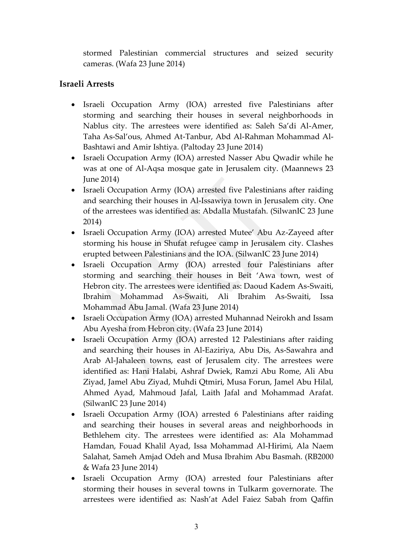stormed Palestinian commercial structures and seized security cameras. (Wafa 23 June 2014)

### **Israeli Arrests**

- Israeli Occupation Army (IOA) arrested five Palestinians after storming and searching their houses in several neighborhoods in Nablus city. The arrestees were identified as: Saleh Sa'di Al-Amer, Taha As-Sal'ous, Ahmed At-Tanbur, Abd Al-Rahman Mohammad Al-Bashtawi and Amir Ishtiya. (Paltoday 23 June 2014)
- Israeli Occupation Army (IOA) arrested Nasser Abu Qwadir while he was at one of Al-Aqsa mosque gate in Jerusalem city. (Maannews 23 June 2014)
- Israeli Occupation Army (IOA) arrested five Palestinians after raiding and searching their houses in Al-Issawiya town in Jerusalem city. One of the arrestees was identified as: Abdalla Mustafah. (SilwanIC 23 June 2014)
- Israeli Occupation Army (IOA) arrested Mutee' Abu Az-Zayeed after storming his house in Shufat refugee camp in Jerusalem city. Clashes erupted between Palestinians and the IOA. (SilwanIC 23 June 2014)
- Israeli Occupation Army (IOA) arrested four Palestinians after storming and searching their houses in Beit 'Awa town, west of Hebron city. The arrestees were identified as: Daoud Kadem As-Swaiti, Ibrahim Mohammad As-Swaiti, Ali Ibrahim As-Swaiti, Issa Mohammad Abu Jamal. (Wafa 23 June 2014)
- Israeli Occupation Army (IOA) arrested Muhannad Neirokh and Issam Abu Ayesha from Hebron city. (Wafa 23 June 2014)
- Israeli Occupation Army (IOA) arrested 12 Palestinians after raiding and searching their houses in Al-Eaziriya, Abu Dis, As-Sawahra and Arab Al-Jahaleen towns, east of Jerusalem city. The arrestees were identified as: Hani Halabi, Ashraf Dwiek, Ramzi Abu Rome, Ali Abu Ziyad, Jamel Abu Ziyad, Muhdi Qtmiri, Musa Forun, Jamel Abu Hilal, Ahmed Ayad, Mahmoud Jafal, Laith Jafal and Mohammad Arafat. (SilwanIC 23 June 2014)
- Israeli Occupation Army (IOA) arrested 6 Palestinians after raiding and searching their houses in several areas and neighborhoods in Bethlehem city. The arrestees were identified as: Ala Mohammad Hamdan, Fouad Khalil Ayad, Issa Mohammad Al-Hirimi, Ala Naem Salahat, Sameh Amjad Odeh and Musa Ibrahim Abu Basmah. (RB2000 & Wafa 23 June 2014)
- Israeli Occupation Army (IOA) arrested four Palestinians after storming their houses in several towns in Tulkarm governorate. The arrestees were identified as: Nash'at Adel Faiez Sabah from Qaffin